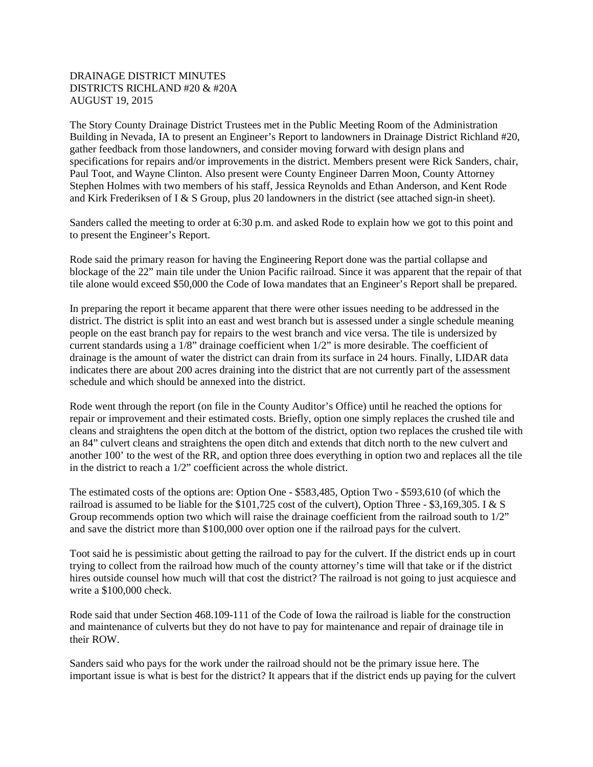## DRAINAGE DISTRICT MINUTES DISTRICTS RICHLAND #20 & #20A AUGUST 19, 2015

The Story County Drainage District Trustees met in the Public Meeting Room of the Administration Building in Nevada, IA to present an Engineer's Report to landowners in Drainage District Richland #20, gather feedback from those landowners, and consider moving forward with design plans and specifications for repairs and/or improvements in the district. Members present were Rick Sanders, chair, Paul Toot, and Wayne Clinton. Also present were County Engineer Darren Moon, County Attorney Stephen Holmes with two members of his staff, Jessica Reynolds and Ethan Anderson, and Kent Rode and Kirk Frederiksen of I & S Group, plus 20 landowners in the district (see attached sign-in sheet).

Sanders called the meeting to order at 6:30 p.m. and asked Rode to explain how we got to this point and to present the Engineer's Report.

Rode said the primary reason for having the Engineering Report done was the partial collapse and blockage of the 22" main tile under the Union Pacific railroad. Since it was apparent that the repair of that tile alone would exceed \$50,000 the Code of Iowa mandates that an Engineer's Report shall be prepared.

In preparing the report it became apparent that there were other issues needing to be addressed in the district. The district is split into an east and west branch but is assessed under a single schedule meaning people on the east branch pay for repairs to the west branch and vice versa. The tile is undersized by current standards using a 1/8" drainage coefficient when 1/2" is more desirable. The coefficient of drainage is the amount of water the district can drain from its surface in 24 hours. Finally, LIDAR data indicates there are about 200 acres draining into the district that are not currently part of the assessment schedule and which should be annexed into the district.

Rode went through the report (on file in the County Auditor's Office) until he reached the options for repair or improvement and their estimated costs. Briefly, option one simply replaces the crushed tile and cleans and straightens the open ditch at the bottom of the district, option two replaces the crushed tile with an 84" culvert cleans and straightens the open ditch and extends that ditch north to the new culvert and another 100' to the west of the RR, and option three does everything in option two and replaces all the tile in the district to reach a 1/2" coefficient across the whole district.

The estimated costs of the options are: Option One - \$583,485, Option Two - \$593,610 (of which the railroad is assumed to be liable for the \$101,725 cost of the culvert), Option Three - \$3,169,305. I & S Group recommends option two which will raise the drainage coefficient from the railroad south to  $1/2$ " and save the district more than \$100,000 over option one if the railroad pays for the culvert.

Toot said he is pessimistic about getting the railroad to pay for the culvert. If the district ends up in court trying to collect from the railroad how much of the county attorney's time will that take or if the district hires outside counsel how much will that cost the district? The railroad is not going to just acquiesce and write a \$100,000 check.

Rode said that under Section 468.109-111 of the Code of Iowa the railroad is liable for the construction and maintenance of culverts but they do not have to pay for maintenance and repair of drainage tile in their ROW.

Sanders said who pays for the work under the railroad should not be the primary issue here. The important issue is what is best for the district? It appears that if the district ends up paying for the culvert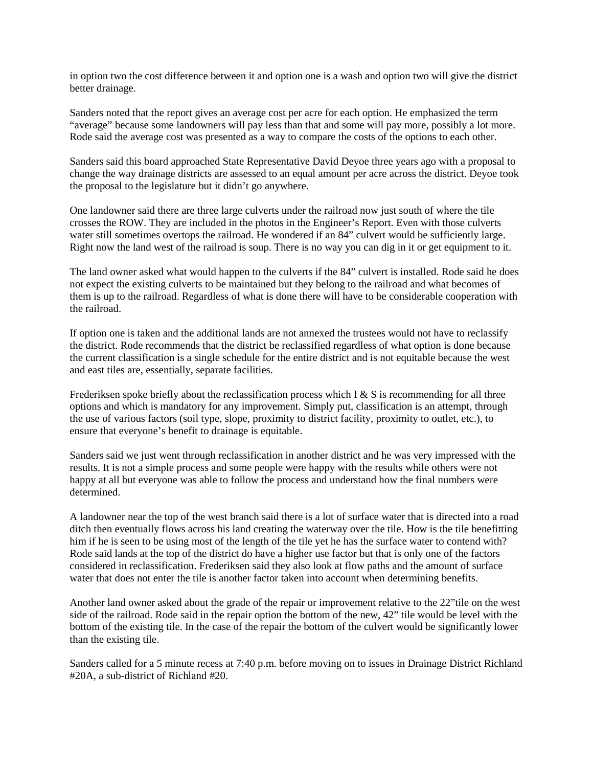in option two the cost difference between it and option one is a wash and option two will give the district better drainage.

Sanders noted that the report gives an average cost per acre for each option. He emphasized the term "average" because some landowners will pay less than that and some will pay more, possibly a lot more. Rode said the average cost was presented as a way to compare the costs of the options to each other.

Sanders said this board approached State Representative David Deyoe three years ago with a proposal to change the way drainage districts are assessed to an equal amount per acre across the district. Deyoe took the proposal to the legislature but it didn't go anywhere.

One landowner said there are three large culverts under the railroad now just south of where the tile crosses the ROW. They are included in the photos in the Engineer's Report. Even with those culverts water still sometimes overtops the railroad. He wondered if an 84" culvert would be sufficiently large. Right now the land west of the railroad is soup. There is no way you can dig in it or get equipment to it.

The land owner asked what would happen to the culverts if the 84" culvert is installed. Rode said he does not expect the existing culverts to be maintained but they belong to the railroad and what becomes of them is up to the railroad. Regardless of what is done there will have to be considerable cooperation with the railroad.

If option one is taken and the additional lands are not annexed the trustees would not have to reclassify the district. Rode recommends that the district be reclassified regardless of what option is done because the current classification is a single schedule for the entire district and is not equitable because the west and east tiles are, essentially, separate facilities.

Frederiksen spoke briefly about the reclassification process which I & S is recommending for all three options and which is mandatory for any improvement. Simply put, classification is an attempt, through the use of various factors (soil type, slope, proximity to district facility, proximity to outlet, etc.), to ensure that everyone's benefit to drainage is equitable.

Sanders said we just went through reclassification in another district and he was very impressed with the results. It is not a simple process and some people were happy with the results while others were not happy at all but everyone was able to follow the process and understand how the final numbers were determined.

A landowner near the top of the west branch said there is a lot of surface water that is directed into a road ditch then eventually flows across his land creating the waterway over the tile. How is the tile benefitting him if he is seen to be using most of the length of the tile yet he has the surface water to contend with? Rode said lands at the top of the district do have a higher use factor but that is only one of the factors considered in reclassification. Frederiksen said they also look at flow paths and the amount of surface water that does not enter the tile is another factor taken into account when determining benefits.

Another land owner asked about the grade of the repair or improvement relative to the 22"tile on the west side of the railroad. Rode said in the repair option the bottom of the new, 42" tile would be level with the bottom of the existing tile. In the case of the repair the bottom of the culvert would be significantly lower than the existing tile.

Sanders called for a 5 minute recess at 7:40 p.m. before moving on to issues in Drainage District Richland #20A, a sub-district of Richland #20.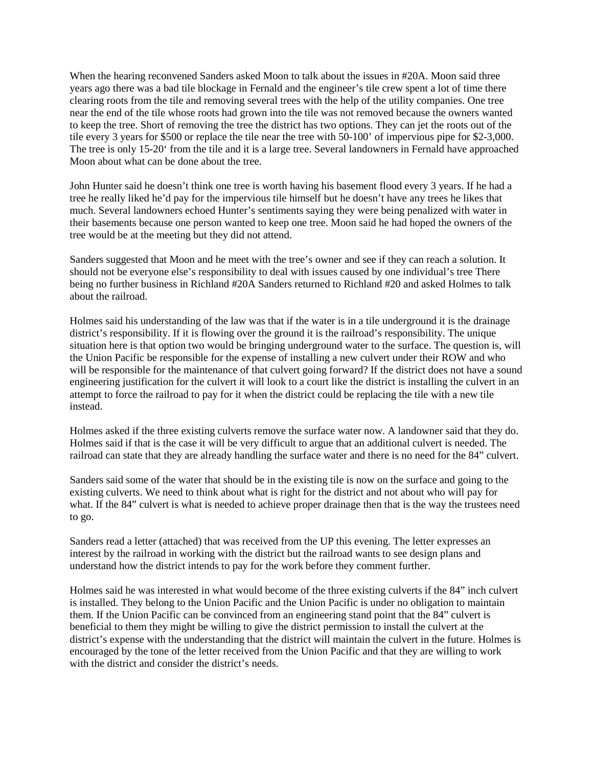When the hearing reconvened Sanders asked Moon to talk about the issues in #20A. Moon said three years ago there was a bad tile blockage in Fernald and the engineer's tile crew spent a lot of time there clearing roots from the tile and removing several trees with the help of the utility companies. One tree near the end of the tile whose roots had grown into the tile was not removed because the owners wanted to keep the tree. Short of removing the tree the district has two options. They can jet the roots out of the tile every 3 years for \$500 or replace the tile near the tree with 50-100' of impervious pipe for \$2-3,000. The tree is only 15-20' from the tile and it is a large tree. Several landowners in Fernald have approached Moon about what can be done about the tree.

John Hunter said he doesn't think one tree is worth having his basement flood every 3 years. If he had a tree he really liked he'd pay for the impervious tile himself but he doesn't have any trees he likes that much. Several landowners echoed Hunter's sentiments saying they were being penalized with water in their basements because one person wanted to keep one tree. Moon said he had hoped the owners of the tree would be at the meeting but they did not attend.

Sanders suggested that Moon and he meet with the tree's owner and see if they can reach a solution. It should not be everyone else's responsibility to deal with issues caused by one individual's tree There being no further business in Richland #20A Sanders returned to Richland #20 and asked Holmes to talk about the railroad.

Holmes said his understanding of the law was that if the water is in a tile underground it is the drainage district's responsibility. If it is flowing over the ground it is the railroad's responsibility. The unique situation here is that option two would be bringing underground water to the surface. The question is, will the Union Pacific be responsible for the expense of installing a new culvert under their ROW and who will be responsible for the maintenance of that culvert going forward? If the district does not have a sound engineering justification for the culvert it will look to a court like the district is installing the culvert in an attempt to force the railroad to pay for it when the district could be replacing the tile with a new tile instead.

Holmes asked if the three existing culverts remove the surface water now. A landowner said that they do. Holmes said if that is the case it will be very difficult to argue that an additional culvert is needed. The railroad can state that they are already handling the surface water and there is no need for the 84" culvert.

Sanders said some of the water that should be in the existing tile is now on the surface and going to the existing culverts. We need to think about what is right for the district and not about who will pay for what. If the 84" culvert is what is needed to achieve proper drainage then that is the way the trustees need to go.

Sanders read a letter (attached) that was received from the UP this evening. The letter expresses an interest by the railroad in working with the district but the railroad wants to see design plans and understand how the district intends to pay for the work before they comment further.

Holmes said he was interested in what would become of the three existing culverts if the 84" inch culvert is installed. They belong to the Union Pacific and the Union Pacific is under no obligation to maintain them. If the Union Pacific can be convinced from an engineering stand point that the 84" culvert is beneficial to them they might be willing to give the district permission to install the culvert at the district's expense with the understanding that the district will maintain the culvert in the future. Holmes is encouraged by the tone of the letter received from the Union Pacific and that they are willing to work with the district and consider the district's needs.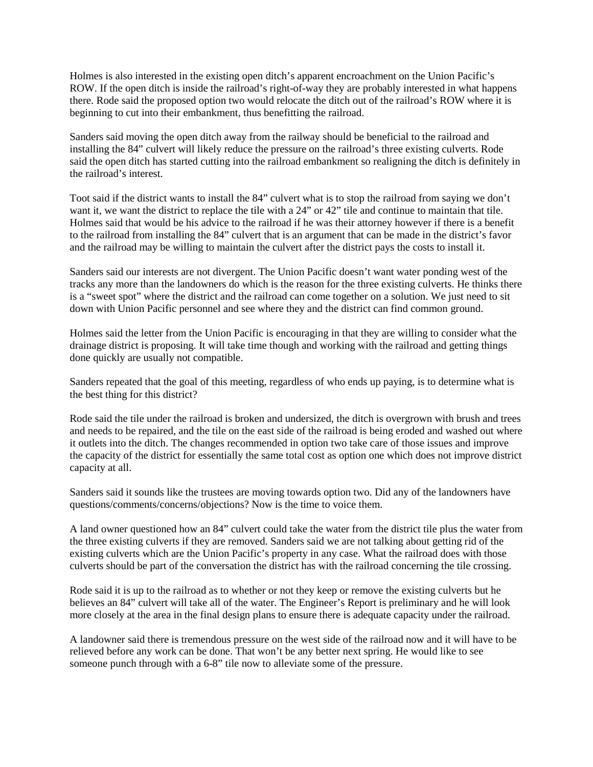Holmes is also interested in the existing open ditch's apparent encroachment on the Union Pacific's ROW. If the open ditch is inside the railroad's right-of-way they are probably interested in what happens there. Rode said the proposed option two would relocate the ditch out of the railroad's ROW where it is beginning to cut into their embankment, thus benefitting the railroad.

Sanders said moving the open ditch away from the railway should be beneficial to the railroad and installing the 84" culvert will likely reduce the pressure on the railroad's three existing culverts. Rode said the open ditch has started cutting into the railroad embankment so realigning the ditch is definitely in the railroad's interest.

Toot said if the district wants to install the 84" culvert what is to stop the railroad from saying we don't want it, we want the district to replace the tile with a 24" or 42" tile and continue to maintain that tile. Holmes said that would be his advice to the railroad if he was their attorney however if there is a benefit to the railroad from installing the 84" culvert that is an argument that can be made in the district's favor and the railroad may be willing to maintain the culvert after the district pays the costs to install it.

Sanders said our interests are not divergent. The Union Pacific doesn't want water ponding west of the tracks any more than the landowners do which is the reason for the three existing culverts. He thinks there is a "sweet spot" where the district and the railroad can come together on a solution. We just need to sit down with Union Pacific personnel and see where they and the district can find common ground.

Holmes said the letter from the Union Pacific is encouraging in that they are willing to consider what the drainage district is proposing. It will take time though and working with the railroad and getting things done quickly are usually not compatible.

Sanders repeated that the goal of this meeting, regardless of who ends up paying, is to determine what is the best thing for this district?

Rode said the tile under the railroad is broken and undersized, the ditch is overgrown with brush and trees and needs to be repaired, and the tile on the east side of the railroad is being eroded and washed out where it outlets into the ditch. The changes recommended in option two take care of those issues and improve the capacity of the district for essentially the same total cost as option one which does not improve district capacity at all.

Sanders said it sounds like the trustees are moving towards option two. Did any of the landowners have questions/comments/concerns/objections? Now is the time to voice them.

A land owner questioned how an 84" culvert could take the water from the district tile plus the water from the three existing culverts if they are removed. Sanders said we are not talking about getting rid of the existing culverts which are the Union Pacific's property in any case. What the railroad does with those culverts should be part of the conversation the district has with the railroad concerning the tile crossing.

Rode said it is up to the railroad as to whether or not they keep or remove the existing culverts but he believes an 84" culvert will take all of the water. The Engineer's Report is preliminary and he will look more closely at the area in the final design plans to ensure there is adequate capacity under the railroad.

A landowner said there is tremendous pressure on the west side of the railroad now and it will have to be relieved before any work can be done. That won't be any better next spring. He would like to see someone punch through with a 6-8" tile now to alleviate some of the pressure.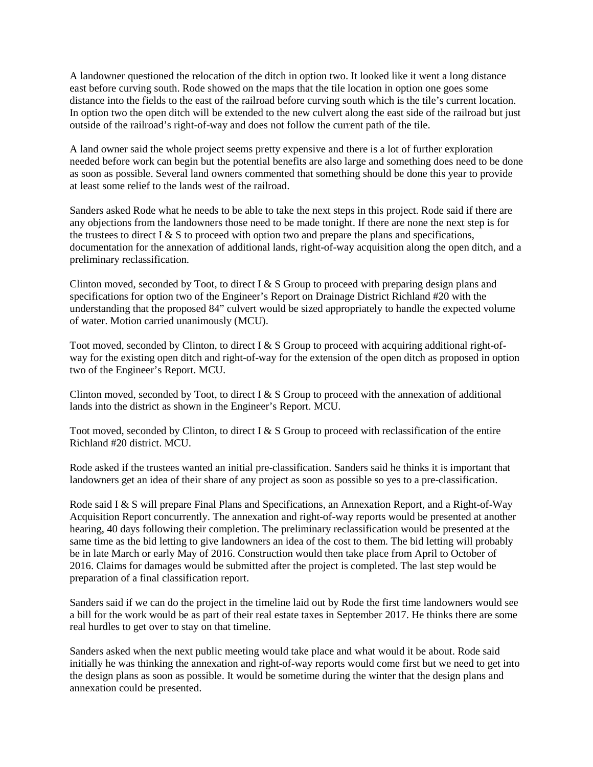A landowner questioned the relocation of the ditch in option two. It looked like it went a long distance east before curving south. Rode showed on the maps that the tile location in option one goes some distance into the fields to the east of the railroad before curving south which is the tile's current location. In option two the open ditch will be extended to the new culvert along the east side of the railroad but just outside of the railroad's right-of-way and does not follow the current path of the tile.

A land owner said the whole project seems pretty expensive and there is a lot of further exploration needed before work can begin but the potential benefits are also large and something does need to be done as soon as possible. Several land owners commented that something should be done this year to provide at least some relief to the lands west of the railroad.

Sanders asked Rode what he needs to be able to take the next steps in this project. Rode said if there are any objections from the landowners those need to be made tonight. If there are none the next step is for the trustees to direct I & S to proceed with option two and prepare the plans and specifications, documentation for the annexation of additional lands, right-of-way acquisition along the open ditch, and a preliminary reclassification.

Clinton moved, seconded by Toot, to direct I & S Group to proceed with preparing design plans and specifications for option two of the Engineer's Report on Drainage District Richland #20 with the understanding that the proposed 84" culvert would be sized appropriately to handle the expected volume of water. Motion carried unanimously (MCU).

Toot moved, seconded by Clinton, to direct I & S Group to proceed with acquiring additional right-ofway for the existing open ditch and right-of-way for the extension of the open ditch as proposed in option two of the Engineer's Report. MCU.

Clinton moved, seconded by Toot, to direct I  $& S$  Group to proceed with the annexation of additional lands into the district as shown in the Engineer's Report. MCU.

Toot moved, seconded by Clinton, to direct I & S Group to proceed with reclassification of the entire Richland #20 district. MCU.

Rode asked if the trustees wanted an initial pre-classification. Sanders said he thinks it is important that landowners get an idea of their share of any project as soon as possible so yes to a pre-classification.

Rode said I & S will prepare Final Plans and Specifications, an Annexation Report, and a Right-of-Way Acquisition Report concurrently. The annexation and right-of-way reports would be presented at another hearing, 40 days following their completion. The preliminary reclassification would be presented at the same time as the bid letting to give landowners an idea of the cost to them. The bid letting will probably be in late March or early May of 2016. Construction would then take place from April to October of 2016. Claims for damages would be submitted after the project is completed. The last step would be preparation of a final classification report.

Sanders said if we can do the project in the timeline laid out by Rode the first time landowners would see a bill for the work would be as part of their real estate taxes in September 2017. He thinks there are some real hurdles to get over to stay on that timeline.

Sanders asked when the next public meeting would take place and what would it be about. Rode said initially he was thinking the annexation and right-of-way reports would come first but we need to get into the design plans as soon as possible. It would be sometime during the winter that the design plans and annexation could be presented.